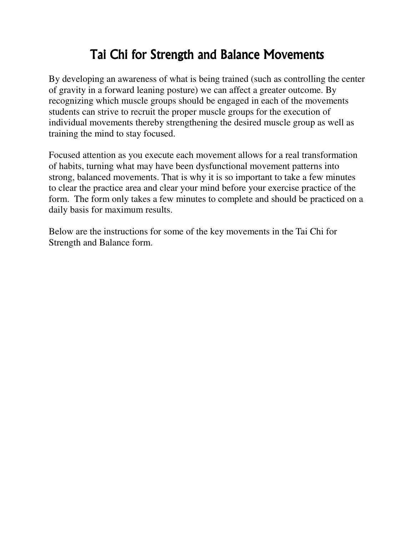# Tai Chi for Strength and Balance Movements

By developing an awareness of what is being trained (such as controlling the center of gravity in a forward leaning posture) we can affect a greater outcome. By recognizing which muscle groups should be engaged in each of the movements students can strive to recruit the proper muscle groups for the execution of individual movements thereby strengthening the desired muscle group as well as training the mind to stay focused.

Focused attention as you execute each movement allows for a real transformation of habits, turning what may have been dysfunctional movement patterns into strong, balanced movements. That is why it is so important to take a few minutes to clear the practice area and clear your mind before your exercise practice of the form. The form only takes a few minutes to complete and should be practiced on a daily basis for maximum results.

Below are the instructions for some of the key movements in the Tai Chi for Strength and Balance form.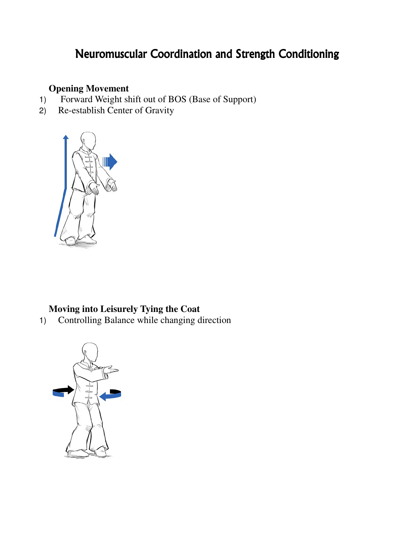## Neuromuscular Coordination and Strength Conditioning

#### **Opening Movement**

- 1) Forward Weight shift out of BOS (Base of Support)
- 2) Re-establish Center of Gravity



#### **Moving into Leisurely Tying the Coat**

1) Controlling Balance while changing direction

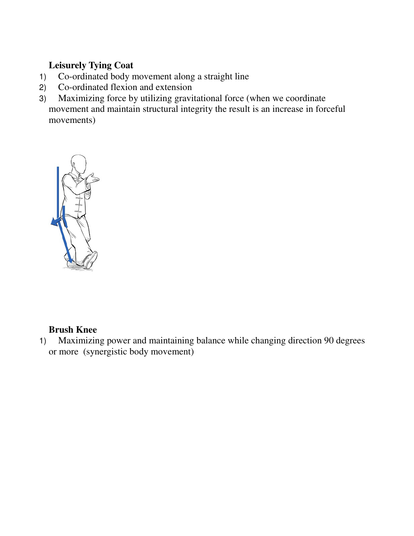#### **Leisurely Tying Coat**

- 1) Co-ordinated body movement along a straight line
- 2) Co-ordinated flexion and extension
- 3) Maximizing force by utilizing gravitational force (when we coordinate movement and maintain structural integrity the result is an increase in forceful movements)



#### **Brush Knee**

1) Maximizing power and maintaining balance while changing direction 90 degrees or more (synergistic body movement)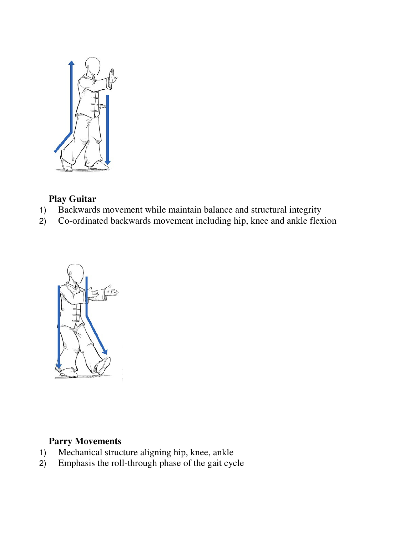

#### **Play Guitar**

- 1) Backwards movement while maintain balance and structural integrity
- 2) Co-ordinated backwards movement including hip, knee and ankle flexion



### **Parry Movements**

- 1) Mechanical structure aligning hip, knee, ankle<br>2) Emphasis the roll-through phase of the gait cyc
- 2) Emphasis the roll-through phase of the gait cycle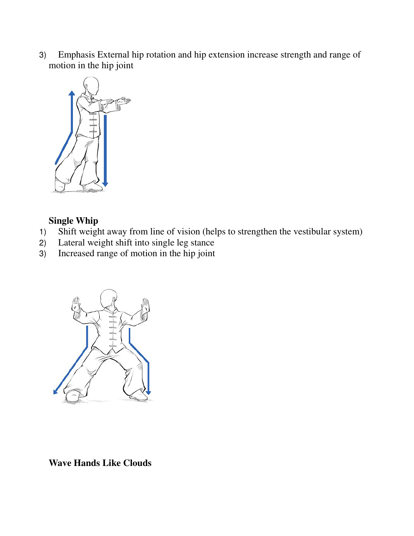3) Emphasis External hip rotation and hip extension increase strength and range of motion in the hip joint



#### **Single Whip**

- 1) Shift weight away from line of vision (helps to strengthen the vestibular system)
- 2) Lateral weight shift into single leg stance
- 3) Increased range of motion in the hip joint



**Wave Hands Like Clouds**